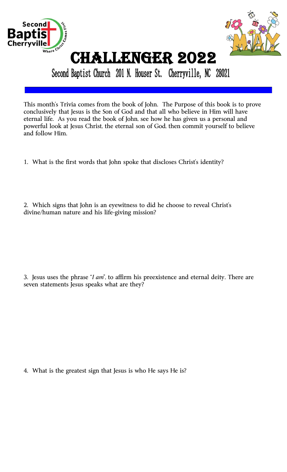



# Challenger 2022

Second Baptist Church 201 N. Houser St. Cherryville, NC 28021

This month's Trivia comes from the book of John. The Purpose of this book is to prove conclusively that Jesus is the Son of God and that all who believe in Him will have eternal life. As you read the book of John, see how he has given us a personal and powerful look at Jesus Christ, the eternal son of God, then commit yourself to believe and follow Him.

- 1. What is the first words that John spoke that discloses Christ's identity?
- 2. Which signs that John is an eyewitness to did he choose to reveal Christ's divine/human nature and his life-giving mission?

3. Jesus uses the phrase "*I am*", to affirm his preexistence and eternal deity. There are seven statements Jesus speaks what are they?

4. What is the greatest sign that Jesus is who He says He is?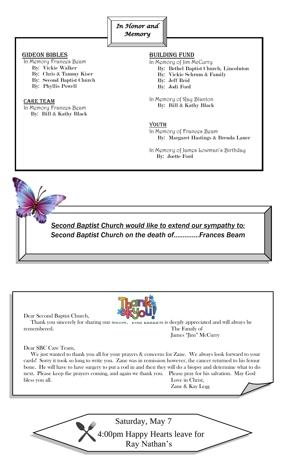

### GIDEON BIBLES

- In Memory Frances Beam
	- By: Vickie Walker
	- By: Chris & Tammy Kiser
	- By: Second Baptist Church
	- By: Phyllis Powell

#### CARE TEAM

In Memory Frances Beam By: Bill & Kathy Black

## BUILDING FUND

In Memory of Jim McCurry

- By: Bethel Baptist Church, Lincolnton
- By: Vickie Schrum & Family
- By: Jeff Reid
- By: Jodi Ford

In Memory of Ray Blanton By: Bill & Kathy Black

### <u>YOUTH</u>

 In Memory of Frances Beam By: Margaret Hastings & Brenda Lauer

In Memory of James Lowman's Birthday By: Joette Ford

 *Second Baptist Church would like to extend our sympathy to: Second Baptist Church on the death of…………..Frances Beam*

ı

Dear Second Baptist Church,



Thank you sincerely for sharing our sorrow. I our kindness is deeply appreciated and will always be remembered. The Family of James "Jim" McCurry

#### Dear SBC Care Team,

 We just wanted to thank you all for your prayers & concerns for Zane. We always look forward to your cards! Sorry it took so long to write you. Zane was in remission however, the cancer returned to his femur bone. He will have to have surgery to put a rod in and then they will do a biopsy and determine what to do next. Please keep the prayers coming, and again we thank you. Please pray for his salvation. May God bless you all. Love in Christ,

Zane & Kay Legg

Saturday, May 7 4:00pm Happy Hearts leave for Ray Nathan's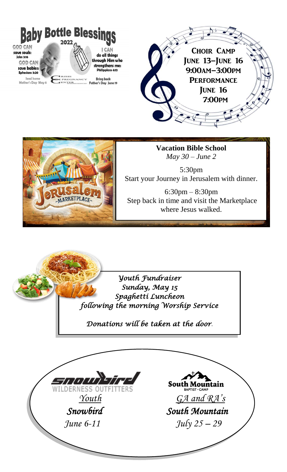



**Vacation Bible School** *May 30 – June 2*

5:30pm Start your Journey in Jerusalem with dinner.

6:30pm – 8:30pm Step back in time and visit the Marketplace where Jesus walked.

*Youth Fundraiser Sunday, May 15 Spaghetti Luncheon following the morning Worship Service* 

*Donations will be taken at the door*.